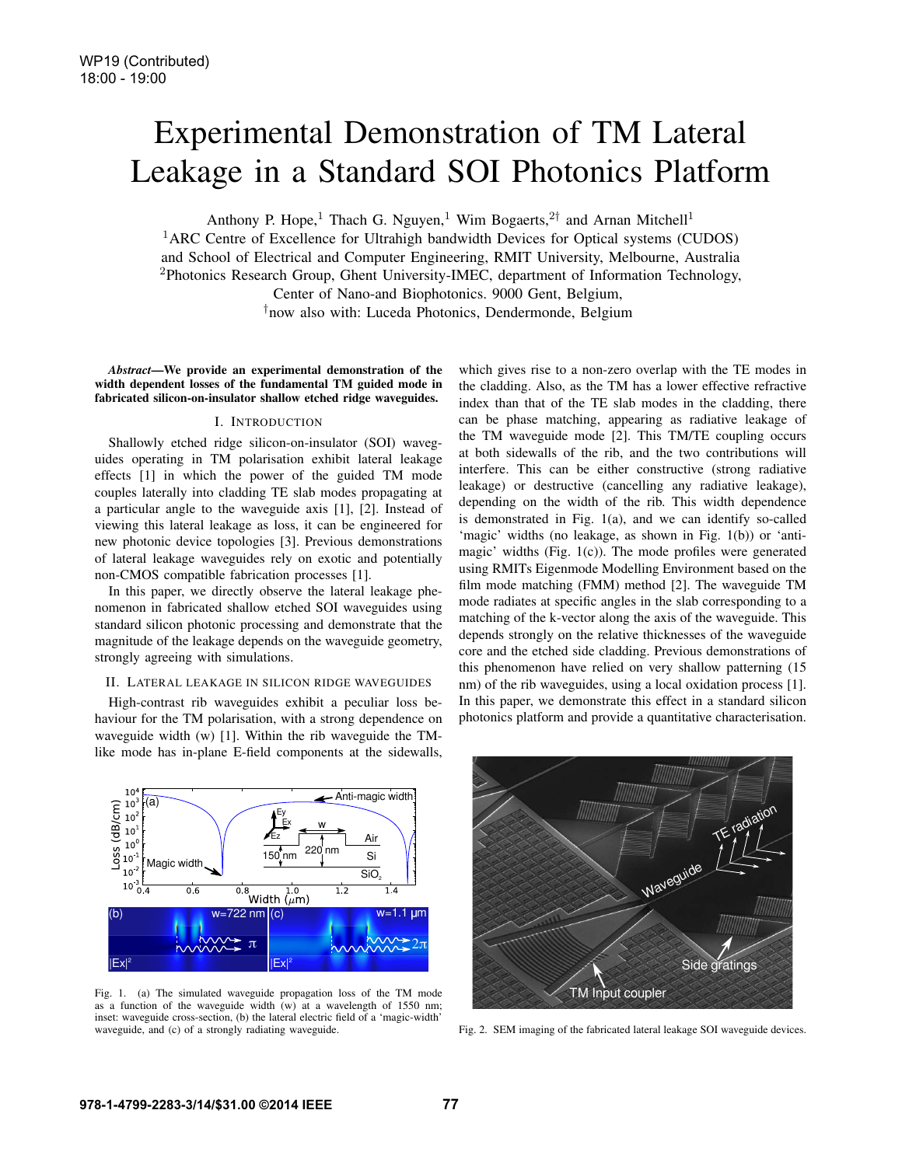# Experimental Demonstration of TM Lateral Leakage in a Standard SOI Photonics Platform

Anthony P. Hope,<sup>1</sup> Thach G. Nguyen,<sup>1</sup> Wim Bogaerts,<sup>2†</sup> and Arnan Mitchell<sup>1</sup>

<sup>1</sup>ARC Centre of Excellence for Ultrahigh bandwidth Devices for Optical systems (CUDOS) and School of Electrical and Computer Engineering, RMIT University, Melbourne, Australia <sup>2</sup>Photonics Research Group, Ghent University-IMEC, department of Information Technology, Center of Nano-and Biophotonics. 9000 Gent, Belgium,

†now also with: Luceda Photonics, Dendermonde, Belgium

*Abstract*—We provide an experimental demonstration of the width dependent losses of the fundamental TM guided mode in fabricated silicon-on-insulator shallow etched ridge waveguides.

# I. INTRODUCTION

Shallowly etched ridge silicon-on-insulator (SOI) waveguides operating in TM polarisation exhibit lateral leakage effects [1] in which the power of the guided TM mode couples laterally into cladding TE slab modes propagating at a particular angle to the waveguide axis [1], [2]. Instead of viewing this lateral leakage as loss, it can be engineered for new photonic device topologies [3]. Previous demonstrations of lateral leakage waveguides rely on exotic and potentially non-CMOS compatible fabrication processes [1].

In this paper, we directly observe the lateral leakage phenomenon in fabricated shallow etched SOI waveguides using standard silicon photonic processing and demonstrate that the magnitude of the leakage depends on the waveguide geometry, strongly agreeing with simulations.

#### II. LATERAL LEAKAGE IN SILICON RIDGE WAVEGUIDES

High-contrast rib waveguides exhibit a peculiar loss behaviour for the TM polarisation, with a strong dependence on waveguide width (w) [1]. Within the rib waveguide the TMlike mode has in-plane E-field components at the sidewalls, which gives rise to a non-zero overlap with the TE modes in the cladding. Also, as the TM has a lower effective refractive index than that of the TE slab modes in the cladding, there can be phase matching, appearing as radiative leakage of the TM waveguide mode [2]. This TM/TE coupling occurs at both sidewalls of the rib, and the two contributions will interfere. This can be either constructive (strong radiative leakage) or destructive (cancelling any radiative leakage), depending on the width of the rib. This width dependence is demonstrated in Fig. 1(a), and we can identify so-called 'magic' widths (no leakage, as shown in Fig. 1(b)) or 'antimagic' widths (Fig. 1(c)). The mode profiles were generated using RMITs Eigenmode Modelling Environment based on the film mode matching (FMM) method [2]. The waveguide TM mode radiates at specific angles in the slab corresponding to a matching of the k-vector along the axis of the waveguide. This depends strongly on the relative thicknesses of the waveguide core and the etched side cladding. Previous demonstrations of this phenomenon have relied on very shallow patterning (15 nm) of the rib waveguides, using a local oxidation process [1]. In this paper, we demonstrate this effect in a standard silicon photonics platform and provide a quantitative characterisation.



Fig. 1. (a) The simulated waveguide propagation loss of the TM mode as a function of the waveguide width (w) at a wavelength of 1550 nm; inset: waveguide cross-section, (b) the lateral electric field of a 'magic-width' waveguide, and (c) of a strongly radiating waveguide.



Fig. 2. SEM imaging of the fabricated lateral leakage SOI waveguide devices.